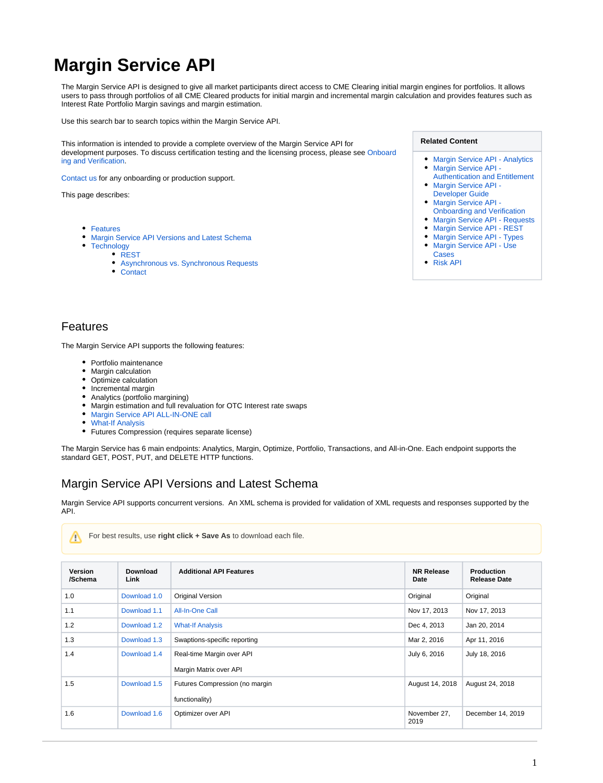# **Margin Service API**

The Margin Service API is designed to give all market participants direct access to CME Clearing initial margin engines for portfolios. It allows users to pass through portfolios of all CME Cleared products for initial margin and incremental margin calculation and provides features such as Interest Rate Portfolio Margin savings and margin estimation.

Use this search bar to search topics within the Margin Service API.

This information is intended to provide a complete overview of the Margin Service API for development purposes. To discuss certification testing and the licensing process, please see [Onboard](https://www.cmegroup.com/confluence/display/EPICSANDBOX/Margin+Service+API+-+Onboarding+and+Verification) [ing and Verification.](https://www.cmegroup.com/confluence/display/EPICSANDBOX/Margin+Service+API+-+Onboarding+and+Verification)

[Contact us](https://www.cmegroup.com/confluence/display/EPICSANDBOX/Contact+Information#ContactInformation-ClearingServices) for any onboarding or production support.

This page describes:

- [Features](#page-0-0)
- [Margin Service API Versions and Latest Schema](#page-0-1)  $\bullet$ 
	- **[Technology](#page-2-0)**
	- [REST](#page-2-1)
		- [Asynchronous vs. Synchronous Requests](#page-2-2)
		- [Contact](#page-2-3)

#### **Related Content**

- [Margin Service API Analytics](https://www.cmegroup.com/confluence/display/EPICSANDBOX/Margin+Service+API+-+Analytics)
- Margin Service API -[Authentication and Entitlement](https://www.cmegroup.com/confluence/display/EPICSANDBOX/Margin+Service+API+-+Authentication+and+Entitlement)
- Margin Service API -[Developer Guide](https://www.cmegroup.com/confluence/display/EPICSANDBOX/Margin+Service+API+-+Developer+Guide)
- [Margin Service API](https://www.cmegroup.com/confluence/display/EPICSANDBOX/Margin+Service+API+-+Onboarding+and+Verification)
- [Onboarding and Verification](https://www.cmegroup.com/confluence/display/EPICSANDBOX/Margin+Service+API+-+Onboarding+and+Verification)
- [Margin Service API Requests](https://www.cmegroup.com/confluence/display/EPICSANDBOX/Margin+Service+API+-+Requests)
- [Margin Service API REST](https://www.cmegroup.com/confluence/display/EPICSANDBOX/Margin+Service+API+-+REST)
- [Margin Service API Types](https://www.cmegroup.com/confluence/display/EPICSANDBOX/Margin+Service+API+-+Types)
- $\bullet$ [Margin Service API - Use](https://www.cmegroup.com/confluence/display/EPICSANDBOX/Margin+Service+API+-+Use+Cases)  [Cases](https://www.cmegroup.com/confluence/display/EPICSANDBOX/Margin+Service+API+-+Use+Cases)
- [Risk API](https://www.cmegroup.com/confluence/display/EPICSANDBOX/Risk+API)

# <span id="page-0-0"></span>Features

The Margin Service API supports the following features:

- Portfolio maintenance
- Margin calculation
- Optimize calculation
- Incremental margin
- Analytics (portfolio margining)
- Margin estimation and full revaluation for OTC Interest rate swaps
- $\bullet$ [Margin Service API ALL-IN-ONE call](https://www.cmegroup.com/confluence/display/EPICSANDBOX/Margin+Service+API+-+ALL-IN-ONE+Call)
- $\bullet$ [What-If Analysis](https://www.cmegroup.com/confluence/display/EPICSANDBOX/Margin+Service+API+-+What+If+Analysis)
- Futures Compression (requires separate license)

The Margin Service has 6 main endpoints: Analytics, Margin, Optimize, Portfolio, Transactions, and All-in-One. Each endpoint supports the standard GET, POST, PUT, and DELETE HTTP functions.

# <span id="page-0-1"></span>Margin Service API Versions and Latest Schema

Margin Service API supports concurrent versions. An XML schema is provided for validation of XML requests and responses supported by the API.

| <b>Version</b><br>/Schema | Download<br>Link | <b>Additional API Features</b>                      | <b>NR Release</b><br>Date | <b>Production</b><br><b>Release Date</b> |
|---------------------------|------------------|-----------------------------------------------------|---------------------------|------------------------------------------|
| 1.0                       | Download 1.0     | <b>Original Version</b>                             | Original                  | Original                                 |
| 1.1                       | Download 1.1     | All-In-One Call                                     | Nov 17, 2013              | Nov 17, 2013                             |
| 1.2                       | Download 1.2     | <b>What-If Analysis</b>                             | Dec 4, 2013               | Jan 20, 2014                             |
| 1.3                       | Download 1.3     | Swaptions-specific reporting                        | Mar 2, 2016               | Apr 11, 2016                             |
| 1.4                       | Download 1.4     | Real-time Margin over API<br>Margin Matrix over API | July 6, 2016              | July 18, 2016                            |
| 1.5                       | Download 1.5     | Futures Compression (no margin<br>functionality)    | August 14, 2018           | August 24, 2018                          |
| 1.6                       | Download 1.6     | Optimizer over API                                  | November 27,<br>2019      | December 14, 2019                        |

For best results, use **right click + Save As** to download each file.↗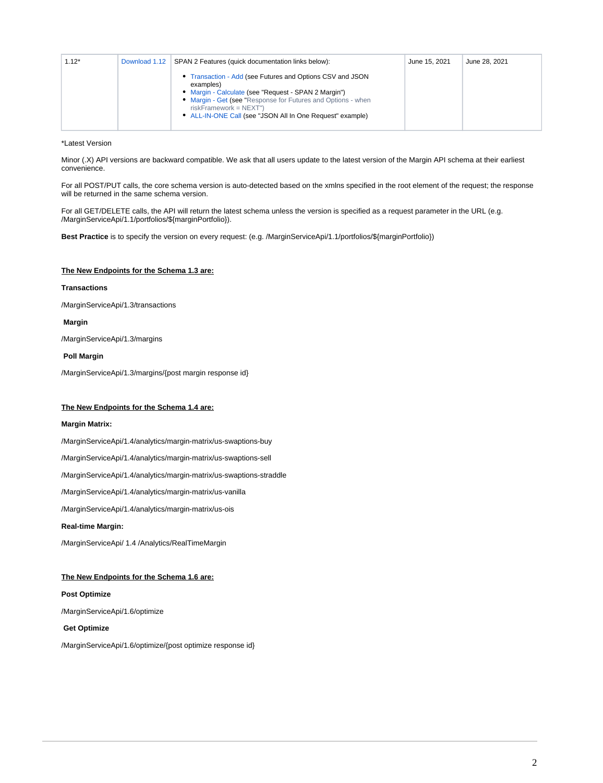| $1.12*$ | Download 1.12 | SPAN 2 Features (quick documentation links below):                                                                                                                                                                                                                                      | June 15, 2021 | June 28, 2021 |
|---------|---------------|-----------------------------------------------------------------------------------------------------------------------------------------------------------------------------------------------------------------------------------------------------------------------------------------|---------------|---------------|
|         |               | • Transaction - Add (see Futures and Options CSV and JSON<br>examples)<br>• Margin - Calculate (see "Request - SPAN 2 Margin")<br>• Margin - Get (see "Response for Futures and Options - when<br>$riskFramework = NEXT")$<br>• ALL-IN-ONE Call (see "JSON All In One Request" example) |               |               |

\*Latest Version

Minor (.X) API versions are backward compatible. We ask that all users update to the latest version of the Margin API schema at their earliest convenience.

For all POST/PUT calls, the core schema version is auto-detected based on the xmlns specified in the root element of the request; the response will be returned in the same schema version.

For all GET/DELETE calls, the API will return the latest schema unless the version is specified as a request parameter in the URL (e.g. /MarginServiceApi/1.1/portfolios/\${marginPortfolio}).

**Best Practice** is to specify the version on every request: (e.g. /MarginServiceApi/1.1/portfolios/\${marginPortfolio})

#### **The New Endpoints for the Schema 1.3 are:**

#### **Transactions**

/MarginServiceApi/1.3/transactions

#### **Margin**

/MarginServiceApi/1.3/margins

#### **Poll Margin**

/MarginServiceApi/1.3/margins/{post margin response id}

#### **The New Endpoints for the Schema 1.4 are:**

#### **Margin Matrix:**

/MarginServiceApi/1.4/analytics/margin-matrix/us-swaptions-buy

/MarginServiceApi/1.4/analytics/margin-matrix/us-swaptions-sell

/MarginServiceApi/1.4/analytics/margin-matrix/us-swaptions-straddle

/MarginServiceApi/1.4/analytics/margin-matrix/us-vanilla

/MarginServiceApi/1.4/analytics/margin-matrix/us-ois

#### **Real-time Margin:**

/MarginServiceApi/ 1.4 /Analytics/RealTimeMargin

#### **The New Endpoints for the Schema 1.6 are:**

#### **Post Optimize**

/MarginServiceApi/1.6/optimize

 **Get Optimize**

/MarginServiceApi/1.6/optimize/{post optimize response id}